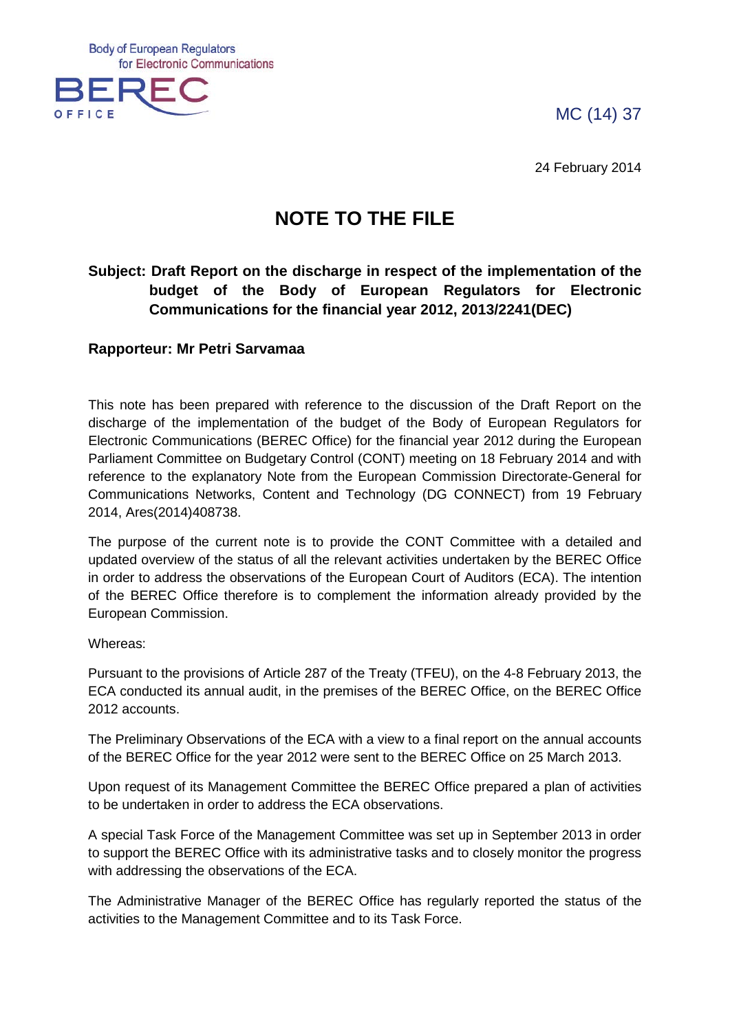MC (14) 37

**Body of European Regulators** for Electronic Communications



24 February 2014

# **NOTE TO THE FILE**

# **Subject: Draft Report on the discharge in respect of the implementation of the budget of the Body of European Regulators for Electronic Communications for the financial year 2012, 2013/2241(DEC)**

# **Rapporteur: Mr Petri Sarvamaa**

This note has been prepared with reference to the discussion of the Draft Report on the discharge of the implementation of the budget of the Body of European Regulators for Electronic Communications (BEREC Office) for the financial year 2012 during the European Parliament Committee on Budgetary Control (CONT) meeting on 18 February 2014 and with reference to the explanatory Note from the European Commission Directorate-General for Communications Networks, Content and Technology (DG CONNECT) from 19 February 2014, Ares(2014)408738.

The purpose of the current note is to provide the CONT Committee with a detailed and updated overview of the status of all the relevant activities undertaken by the BEREC Office in order to address the observations of the European Court of Auditors (ECA). The intention of the BEREC Office therefore is to complement the information already provided by the European Commission.

Whereas:

Pursuant to the provisions of Article 287 of the Treaty (TFEU), on the 4-8 February 2013, the ECA conducted its annual audit, in the premises of the BEREC Office, on the BEREC Office 2012 accounts.

The Preliminary Observations of the ECA with a view to a final report on the annual accounts of the BEREC Office for the year 2012 were sent to the BEREC Office on 25 March 2013.

Upon request of its Management Committee the BEREC Office prepared a plan of activities to be undertaken in order to address the ECA observations.

A special Task Force of the Management Committee was set up in September 2013 in order to support the BEREC Office with its administrative tasks and to closely monitor the progress with addressing the observations of the ECA.

The Administrative Manager of the BEREC Office has regularly reported the status of the activities to the Management Committee and to its Task Force.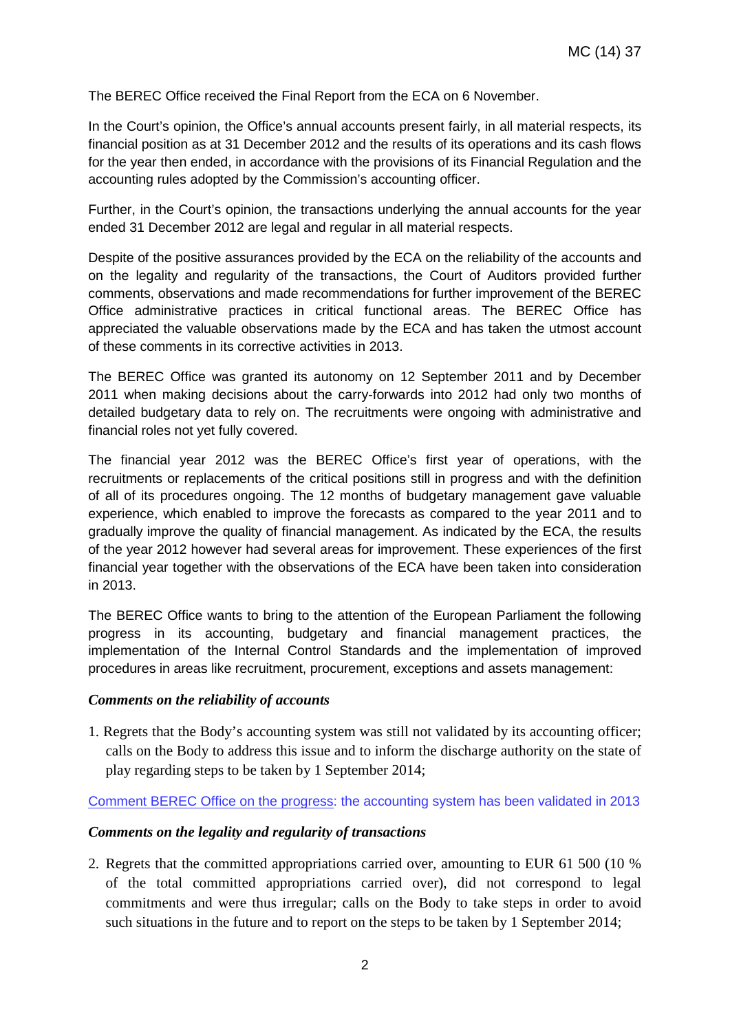The BEREC Office received the Final Report from the ECA on 6 November.

In the Court's opinion, the Office's annual accounts present fairly, in all material respects, its financial position as at 31 December 2012 and the results of its operations and its cash flows for the year then ended, in accordance with the provisions of its Financial Regulation and the accounting rules adopted by the Commission's accounting officer.

Further, in the Court's opinion, the transactions underlying the annual accounts for the year ended 31 December 2012 are legal and regular in all material respects.

Despite of the positive assurances provided by the ECA on the reliability of the accounts and on the legality and regularity of the transactions, the Court of Auditors provided further comments, observations and made recommendations for further improvement of the BEREC Office administrative practices in critical functional areas. The BEREC Office has appreciated the valuable observations made by the ECA and has taken the utmost account of these comments in its corrective activities in 2013.

The BEREC Office was granted its autonomy on 12 September 2011 and by December 2011 when making decisions about the carry-forwards into 2012 had only two months of detailed budgetary data to rely on. The recruitments were ongoing with administrative and financial roles not yet fully covered.

The financial year 2012 was the BEREC Office's first year of operations, with the recruitments or replacements of the critical positions still in progress and with the definition of all of its procedures ongoing. The 12 months of budgetary management gave valuable experience, which enabled to improve the forecasts as compared to the year 2011 and to gradually improve the quality of financial management. As indicated by the ECA, the results of the year 2012 however had several areas for improvement. These experiences of the first financial year together with the observations of the ECA have been taken into consideration in 2013.

The BEREC Office wants to bring to the attention of the European Parliament the following progress in its accounting, budgetary and financial management practices, the implementation of the Internal Control Standards and the implementation of improved procedures in areas like recruitment, procurement, exceptions and assets management:

## *Comments on the reliability of accounts*

1. Regrets that the Body's accounting system was still not validated by its accounting officer; calls on the Body to address this issue and to inform the discharge authority on the state of play regarding steps to be taken by 1 September 2014;

Comment BEREC Office on the progress: the accounting system has been validated in 2013

## *Comments on the legality and regularity of transactions*

2. Regrets that the committed appropriations carried over, amounting to EUR 61 500 (10 % of the total committed appropriations carried over), did not correspond to legal commitments and were thus irregular; calls on the Body to take steps in order to avoid such situations in the future and to report on the steps to be taken by 1 September 2014;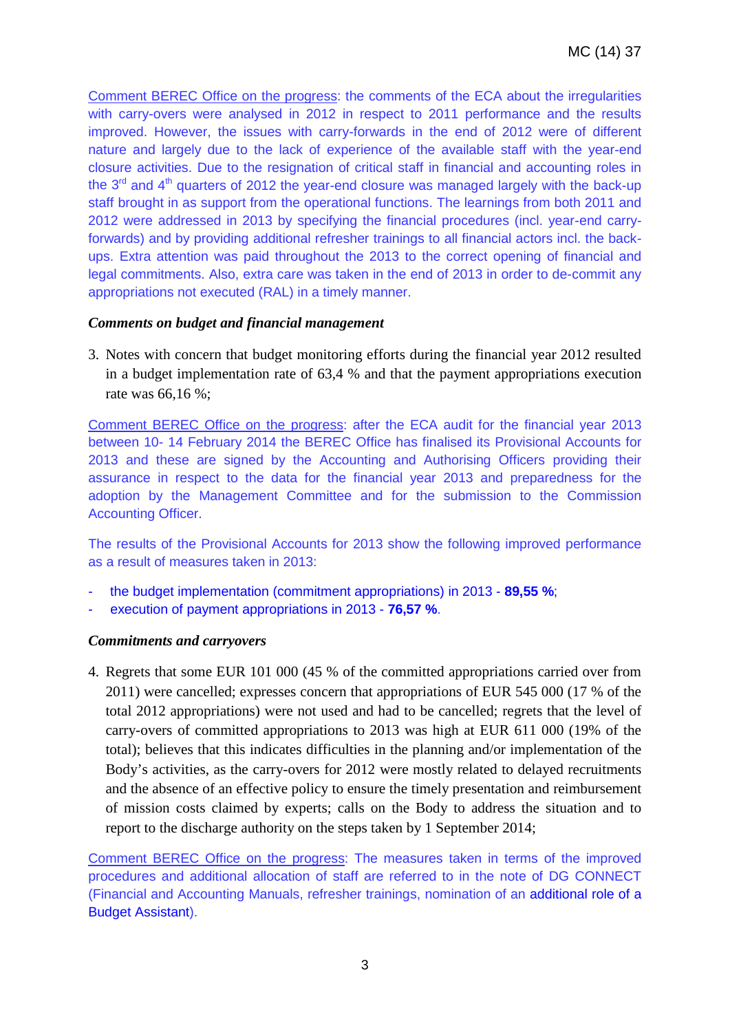Comment BEREC Office on the progress: the comments of the ECA about the irregularities with carry-overs were analysed in 2012 in respect to 2011 performance and the results improved. However, the issues with carry-forwards in the end of 2012 were of different nature and largely due to the lack of experience of the available staff with the year-end closure activities. Due to the resignation of critical staff in financial and accounting roles in the  $3<sup>rd</sup>$  and  $4<sup>th</sup>$  quarters of 2012 the year-end closure was managed largely with the back-up staff brought in as support from the operational functions. The learnings from both 2011 and 2012 were addressed in 2013 by specifying the financial procedures (incl. year-end carryforwards) and by providing additional refresher trainings to all financial actors incl. the backups. Extra attention was paid throughout the 2013 to the correct opening of financial and legal commitments. Also, extra care was taken in the end of 2013 in order to de-commit any appropriations not executed (RAL) in a timely manner.

# *Comments on budget and financial management*

3. Notes with concern that budget monitoring efforts during the financial year 2012 resulted in a budget implementation rate of 63,4 % and that the payment appropriations execution rate was 66,16 %;

Comment BEREC Office on the progress: after the ECA audit for the financial year 2013 between 10- 14 February 2014 the BEREC Office has finalised its Provisional Accounts for 2013 and these are signed by the Accounting and Authorising Officers providing their assurance in respect to the data for the financial year 2013 and preparedness for the adoption by the Management Committee and for the submission to the Commission Accounting Officer.

The results of the Provisional Accounts for 2013 show the following improved performance as a result of measures taken in 2013:

- the budget implementation (commitment appropriations) in 2013 **89,55 %**;
- execution of payment appropriations in 2013 **76,57 %**.

## *Commitments and carryovers*

4. Regrets that some EUR 101 000 (45 % of the committed appropriations carried over from 2011) were cancelled; expresses concern that appropriations of EUR 545 000 (17 % of the total 2012 appropriations) were not used and had to be cancelled; regrets that the level of carry-overs of committed appropriations to 2013 was high at EUR 611 000 (19% of the total); believes that this indicates difficulties in the planning and/or implementation of the Body's activities, as the carry-overs for 2012 were mostly related to delayed recruitments and the absence of an effective policy to ensure the timely presentation and reimbursement of mission costs claimed by experts; calls on the Body to address the situation and to report to the discharge authority on the steps taken by 1 September 2014;

Comment BEREC Office on the progress: The measures taken in terms of the improved procedures and additional allocation of staff are referred to in the note of DG CONNECT (Financial and Accounting Manuals, refresher trainings, nomination of an additional role of a Budget Assistant).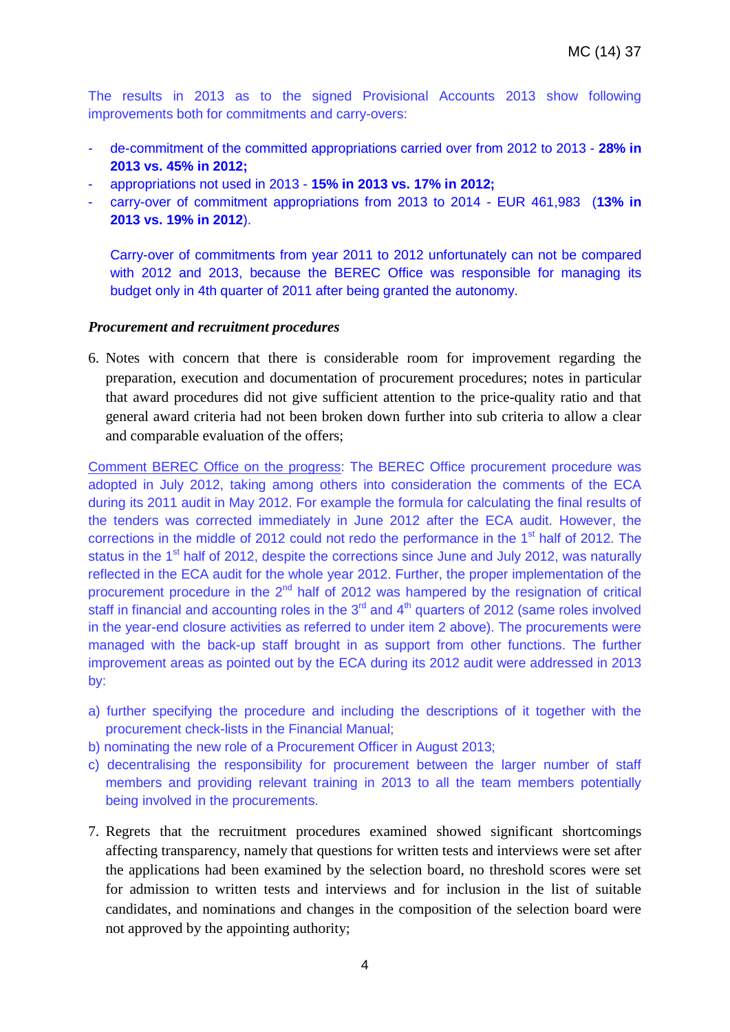The results in 2013 as to the signed Provisional Accounts 2013 show following improvements both for commitments and carry-overs:

- de-commitment of the committed appropriations carried over from 2012 to 2013 **28% in 2013 vs. 45% in 2012;**
- appropriations not used in 2013 **15% in 2013 vs. 17% in 2012;**
- carry-over of commitment appropriations from 2013 to 2014 EUR 461,983 (**13% in 2013 vs. 19% in 2012**).

Carry-over of commitments from year 2011 to 2012 unfortunately can not be compared with 2012 and 2013, because the BEREC Office was responsible for managing its budget only in 4th quarter of 2011 after being granted the autonomy.

#### *Procurement and recruitment procedures*

6. Notes with concern that there is considerable room for improvement regarding the preparation, execution and documentation of procurement procedures; notes in particular that award procedures did not give sufficient attention to the price-quality ratio and that general award criteria had not been broken down further into sub criteria to allow a clear and comparable evaluation of the offers;

Comment BEREC Office on the progress: The BEREC Office procurement procedure was adopted in July 2012, taking among others into consideration the comments of the ECA during its 2011 audit in May 2012. For example the formula for calculating the final results of the tenders was corrected immediately in June 2012 after the ECA audit. However, the corrections in the middle of 2012 could not redo the performance in the 1<sup>st</sup> half of 2012. The status in the 1<sup>st</sup> half of 2012, despite the corrections since June and July 2012, was naturally reflected in the ECA audit for the whole year 2012. Further, the proper implementation of the procurement procedure in the  $2<sup>nd</sup>$  half of 2012 was hampered by the resignation of critical staff in financial and accounting roles in the  $3<sup>rd</sup>$  and  $4<sup>th</sup>$  quarters of 2012 (same roles involved in the year-end closure activities as referred to under item 2 above). The procurements were managed with the back-up staff brought in as support from other functions. The further improvement areas as pointed out by the ECA during its 2012 audit were addressed in 2013 by:

- a) further specifying the procedure and including the descriptions of it together with the procurement check-lists in the Financial Manual;
- b) nominating the new role of a Procurement Officer in August 2013;
- c) decentralising the responsibility for procurement between the larger number of staff members and providing relevant training in 2013 to all the team members potentially being involved in the procurements.
- 7. Regrets that the recruitment procedures examined showed significant shortcomings affecting transparency, namely that questions for written tests and interviews were set after the applications had been examined by the selection board, no threshold scores were set for admission to written tests and interviews and for inclusion in the list of suitable candidates, and nominations and changes in the composition of the selection board were not approved by the appointing authority;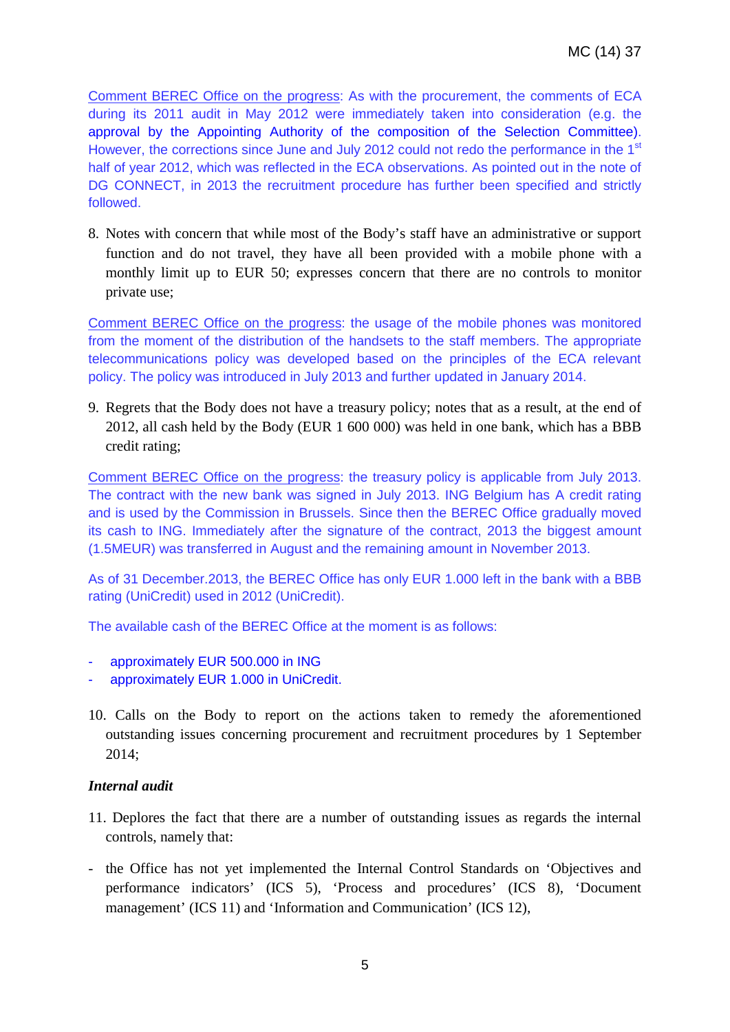Comment BEREC Office on the progress: As with the procurement, the comments of ECA during its 2011 audit in May 2012 were immediately taken into consideration (e.g. the approval by the Appointing Authority of the composition of the Selection Committee). However, the corrections since June and July 2012 could not redo the performance in the 1<sup>st</sup> half of year 2012, which was reflected in the ECA observations. As pointed out in the note of DG CONNECT, in 2013 the recruitment procedure has further been specified and strictly followed.

8. Notes with concern that while most of the Body's staff have an administrative or support function and do not travel, they have all been provided with a mobile phone with a monthly limit up to EUR 50; expresses concern that there are no controls to monitor private use;

Comment BEREC Office on the progress: the usage of the mobile phones was monitored from the moment of the distribution of the handsets to the staff members. The appropriate telecommunications policy was developed based on the principles of the ECA relevant policy. The policy was introduced in July 2013 and further updated in January 2014.

9. Regrets that the Body does not have a treasury policy; notes that as a result, at the end of 2012, all cash held by the Body (EUR 1 600 000) was held in one bank, which has a BBB credit rating;

Comment BEREC Office on the progress: the treasury policy is applicable from July 2013. The contract with the new bank was signed in July 2013. ING Belgium has A credit rating and is used by the Commission in Brussels. Since then the BEREC Office gradually moved its cash to ING. Immediately after the signature of the contract, 2013 the biggest amount (1.5MEUR) was transferred in August and the remaining amount in November 2013.

As of 31 December.2013, the BEREC Office has only EUR 1.000 left in the bank with a BBB rating (UniCredit) used in 2012 (UniCredit).

The available cash of the BEREC Office at the moment is as follows:

- approximately EUR 500.000 in ING
- approximately EUR 1.000 in UniCredit.
- 10. Calls on the Body to report on the actions taken to remedy the aforementioned outstanding issues concerning procurement and recruitment procedures by 1 September 2014;

# *Internal audit*

- 11. Deplores the fact that there are a number of outstanding issues as regards the internal controls, namely that:
- the Office has not yet implemented the Internal Control Standards on 'Objectives and performance indicators' (ICS 5), 'Process and procedures' (ICS 8), 'Document management' (ICS 11) and 'Information and Communication' (ICS 12),